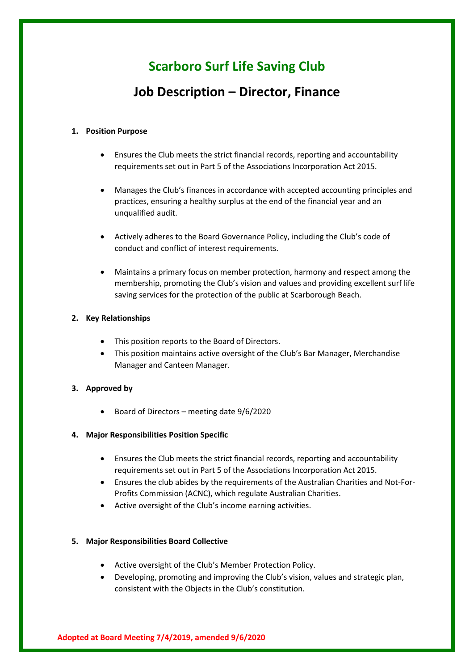# **Scarboro Surf Life Saving Club**

# **Job Description – Director, Finance**

#### **1. Position Purpose**

- Ensures the Club meets the strict financial records, reporting and accountability requirements set out in Part 5 of the Associations Incorporation Act 2015.
- Manages the Club's finances in accordance with accepted accounting principles and practices, ensuring a healthy surplus at the end of the financial year and an unqualified audit.
- Actively adheres to the Board Governance Policy, including the Club's code of conduct and conflict of interest requirements.
- Maintains a primary focus on member protection, harmony and respect among the membership, promoting the Club's vision and values and providing excellent surf life saving services for the protection of the public at Scarborough Beach.

#### **2. Key Relationships**

- This position reports to the Board of Directors.
- This position maintains active oversight of the Club's Bar Manager, Merchandise Manager and Canteen Manager.

# **3. Approved by**

• Board of Directors – meeting date 9/6/2020

#### **4. Major Responsibilities Position Specific**

- Ensures the Club meets the strict financial records, reporting and accountability requirements set out in Part 5 of the Associations Incorporation Act 2015.
- Ensures the club abides by the requirements of the Australian Charities and Not-For-Profits Commission (ACNC), which regulate Australian Charities.
- Active oversight of the Club's income earning activities.

#### **5. Major Responsibilities Board Collective**

- Active oversight of the Club's Member Protection Policy.
- Developing, promoting and improving the Club's vision, values and strategic plan, consistent with the Objects in the Club's constitution.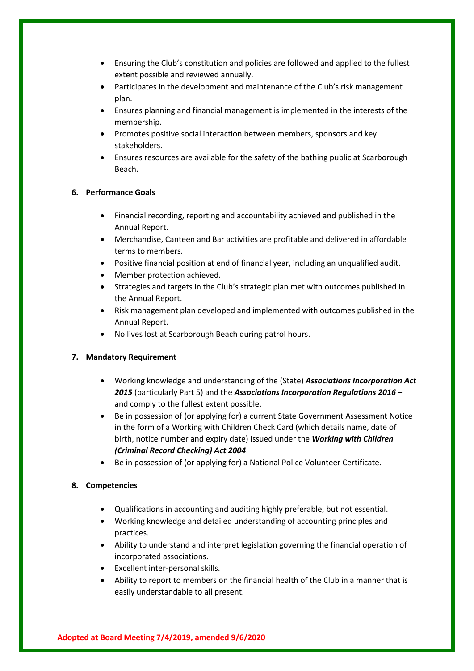- Ensuring the Club's constitution and policies are followed and applied to the fullest extent possible and reviewed annually.
- Participates in the development and maintenance of the Club's risk management plan.
- Ensures planning and financial management is implemented in the interests of the membership.
- Promotes positive social interaction between members, sponsors and key stakeholders.
- Ensures resources are available for the safety of the bathing public at Scarborough Beach.

#### **6. Performance Goals**

- Financial recording, reporting and accountability achieved and published in the Annual Report.
- Merchandise, Canteen and Bar activities are profitable and delivered in affordable terms to members.
- Positive financial position at end of financial year, including an unqualified audit.
- Member protection achieved.
- Strategies and targets in the Club's strategic plan met with outcomes published in the Annual Report.
- Risk management plan developed and implemented with outcomes published in the Annual Report.
- No lives lost at Scarborough Beach during patrol hours.

# **7. Mandatory Requirement**

- Working knowledge and understanding of the (State) *Associations Incorporation Act 2015* (particularly Part 5) and the *Associations Incorporation Regulations 2016* – and comply to the fullest extent possible.
- Be in possession of (or applying for) a current State Government Assessment Notice in the form of a Working with Children Check Card (which details name, date of birth, notice number and expiry date) issued under the *Working with Children (Criminal Record Checking) Act 2004*.
- Be in possession of (or applying for) a National Police Volunteer Certificate.

# **8. Competencies**

- Qualifications in accounting and auditing highly preferable, but not essential.
- Working knowledge and detailed understanding of accounting principles and practices.
- Ability to understand and interpret legislation governing the financial operation of incorporated associations.
- Excellent inter-personal skills.
- Ability to report to members on the financial health of the Club in a manner that is easily understandable to all present.